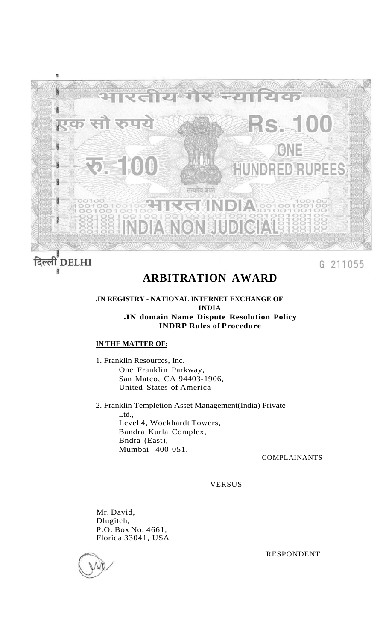

दिल्ली DELHI 菌

 $\mathbf{z}$ 

G 211055

# **ARBITRATION AWARD**

**.IN REGISTRY - NATIONAL INTERNET EXCHANGE OF INDIA .IN domain Name Dispute Resolution Policy INDRP Rules of Procedure** 

# **IN THE MATTER OF:**

1. Franklin Resources, Inc. One Franklin Parkway, San Mateo, CA 94403-1906, United States of America

2. Franklin Templetion Asset Management(India) Private Ltd., Level 4, Wockhardt Towers, Bandra Kurla Complex, Bndra (East), Mumbai- 400 051.

COMPLAINANTS

VERSUS

Mr. David, Dlugitch, P.O. Box No. 4661, Florida 33041, USA

RESPONDENT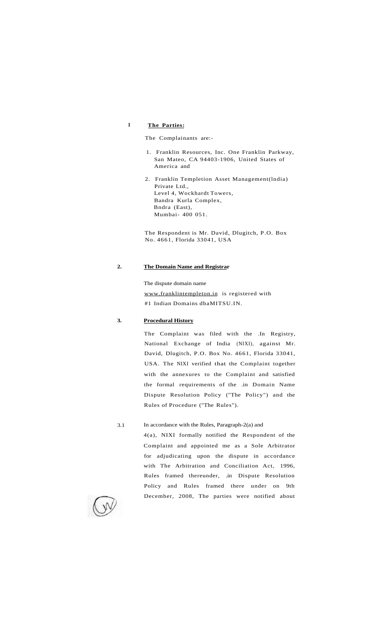#### **The Parties: 1**

The Complainants are:-

- 1. Franklin Resources, Inc. One Franklin Parkway, San Mateo, CA 94403-1906, United States of America and
- 2. Franklin Templetion Asset Management(lndia) Private Ltd., Level 4, Wockhardt Towers, Bandra Kurla Complex, Bndra (East), Mumbai- 400 051.

The Respondent is Mr. David, Dlugitch, P.O. Box No. 4661, Florida 33041, USA

#### **The Domain Name and Registrar 2.**

The dispute domain name [www.franklintempleton.in i](http://www.lranklintemplcton.in)s registered with #1 Indian Domains dbaMITSU.IN.

#### **Procedural History 3.**

The Complaint was filed with the .In Registry, National Exchange of India (NIXI), against Mr. David, Dlugitch, P.O. Box No. 4661, Florida 33041, USA. The NIXI verified that the Complaint together with the annexures to the Complaint and satisfied the formal requirements of the .in Domain Name Dispute Resolution Policy ("The Policy") and the Rules of Procedure ("The Rules").

In accordance with the Rules, Paragraph-2(a) and 4(a), NIXI formally notified the Respondent of the Complaint and appointed me as a Sole Arbitrator for adjudicating upon the dispute in accordance with The Arbitration and Conciliation Act, 1996, Rules framed thereunder, .in Dispute Resolution Policy and Rules framed there under on 9th December, 2008, The parties were notified about



3.1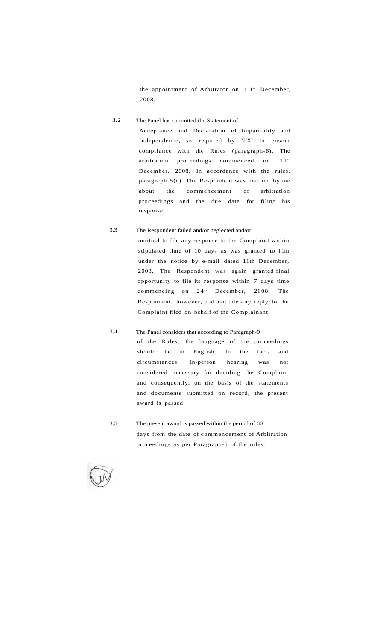the appointment of Arbitrator on  $11<sup>th</sup>$  December, 2008.

- The Panel has submitted the Statement of Acceptance and Declaration of Impartiality and Independence, as required by NIXI to ensure compliance with the Rules (paragraph-6). The arbitration proceedings commenced on  $11<sup>th</sup>$ December, 2008, In accordance with the rules, paragraph 5(c). The Respondent was notified by me about the commencement of arbitration proceedings and the due date for filing his response, 3.2
- The Respondent failed and/or neglected and/or omitted to file any response to the Complaint within stipulated time of 10 days as was granted to him under the notice by e-mail dated 11th December, 2008. The Respondent was again granted final opportunity to file its response within 7 days time commencing on  $24<sup>th</sup>$  December, 2008. The Respondent, however, did not file any reply to the Complaint filed on behalf of the Complainant. 3.3
	- The Panel considers that according to Paragraph-9 of the Rules, the language of the proceedings should be in English. In the facts and circumstances, in-person hearing was not considered necessary for deciding the Complaint and consequently, on the basis of the statements and documents submitted on record, the present award is passed.
- The present award is passed within the period of 60 days from the date of commencement of Arbitration proceedings as per Paragraph-5 of the rules. 3.5



3.4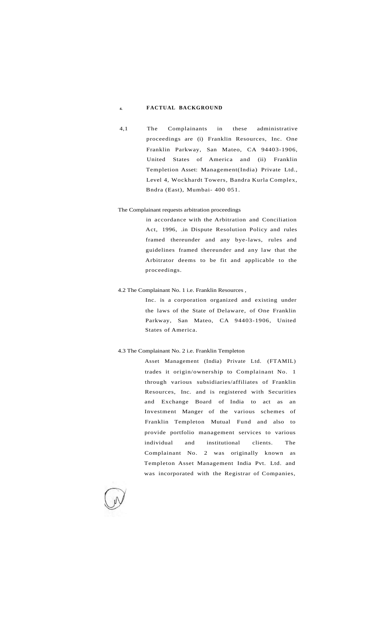# **4. FACTUAL BACKGROUND**

4,1 The Complainants in these administrative proceedings are (i) Franklin Resources, Inc. One Franklin Parkway, San Mateo, CA 94403-1906, United States of America and (ii) Franklin Templetion Asset: Management(India) Private Ltd., Level 4, Wockhardt Towers, Bandra Kurla Complex, Bndra (East), Mumbai- 400 051.

#### The Complainant requests arbitration proceedings

in accordance with the Arbitration and Conciliation Act, 1996, .in Dispute Resolution Policy and rules framed thereunder and any bye-laws, rules and guidelines framed thereunder and any law that the Arbitrator deems to be fit and applicable to the proceedings.

### 4.2 The Complainant No. 1 i.e. Franklin Resources ,

Inc. is a corporation organized and existing under the laws of the State of Delaware, of One Franklin Parkway, San Mateo, CA 94403-1906, United States of America.

# 4.3 The Complainant No. 2 i.e. Franklin Templeton

Asset Management (India) Private Ltd. (FTAMIL) trades it origin/ownership to Complainant No. 1 through various subsidiaries/affiliates of Franklin Resources, Inc. and is registered with Securities and Exchange Board of India to act as an Investment Manger of the various schemes of Franklin Templeton Mutual Fund and also to provide portfolio management services to various individual and institutional clients. The Complainant No. 2 was originally known as Templeton Asset Management India Pvt. Ltd. and was incorporated with the Registrar of Companies,

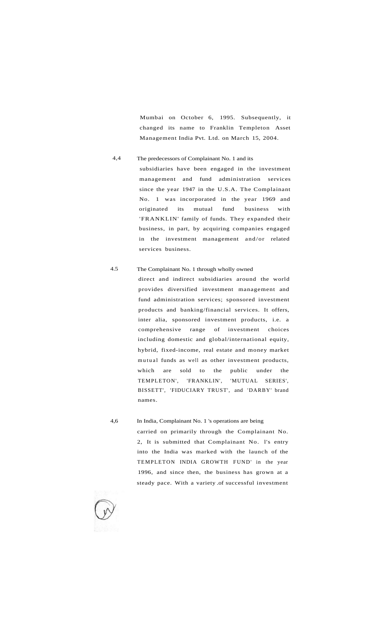Mumbai on October 6, 1995. Subsequently, it changed its name to Franklin Templeton Asset Management India Pvt. Ltd. on March 15, 2004.

#### The predecessors of Complainant No. 1 and its 4,4

subsidiaries have been engaged in the investment management and fund administration services since the year 1947 in the U.S.A. The Complainant No. 1 was incorporated in the year 1969 and originated its mutual fund business with 'FRANKLIN' family of funds. They expanded their business, in part, by acquiring companies engaged in the investment management and/or related services business.

#### The Complainant No. 1 through wholly owned 4.5

direct and indirect subsidiaries around the world provides diversified investment management and fund administration services; sponsored investment products and banking/financial services. It offers, inter alia, sponsored investment products, i.e. a comprehensive range of investment choices including domestic and global/international equity, hybrid, fixed-income, real estate and money market mutual funds as well as other investment products, which are sold to the public under the TEMPLETON', 'FRANKLIN', 'MUTUAL SERIES', BISSETT', 'FIDUCIARY TRUST', and 'DARBY' brand names.

In India, Complainant No. 1 's operations are being carried on primarily through the Complainant No. 2, It is submitted that Complainant No. l's entry into the India was marked with the launch of the TEMPLETON INDIA GROWTH FUND' in the year 1996, and since then, the business has grown at a steady pace. With a variety .of successful investment 4,6

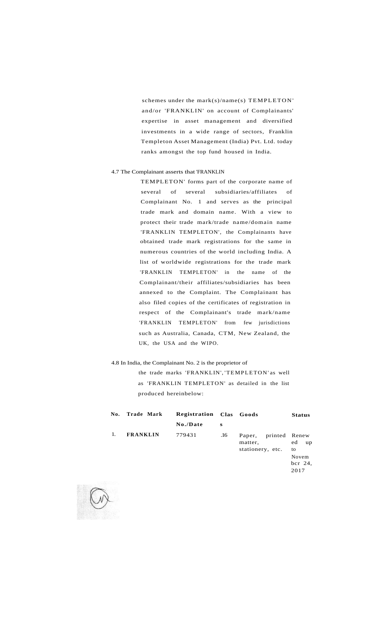schemes under the mark(s)/name(s) TEMPLETON' and/or 'FRANKLIN' on account of Complainants' expertise in asset management and diversified investments in a wide range of sectors, Franklin Templeton Asset Management (India) Pvt. Ltd. today ranks amongst the top fund housed in India.

### 4.7 The Complainant asserts that 'FRANKLIN

TEMPLETON' forms part of the corporate name of several of several subsidiaries/affiliates of Complainant No. 1 and serves as the principal trade mark and domain name. With a view to protect their trade mark/trade name/domain name 'FRANKLIN TEMPLETON', the Complainants have obtained trade mark registrations for the same in numerous countries of the world including India. A list of worldwide registrations for the trade mark 'FRANKLIN TEMPLETON' in the name of the Complainant/their affiliates/subsidiaries has been annexed to the Complaint. The Complainant has also filed copies of the certificates of registration in respect of the Complainant's trade mark/name 'FRANKLIN TEMPLETON' from few jurisdictions such as Australia, Canada, CTM, New Zealand, the UK, the USA and the WIPO.

#### 4.8 In India, the Complainant No. 2 is the proprietor of

the trade marks 'FRANKLIN', 'TEMPLETON' as well as 'FRANKLIN TEMPLETON' as detailed in the list produced hereinbelow:

| No. | Trade Mark      | <b>Registration Clas Goods</b> |     |                                                     | <b>Status</b>                     |
|-----|-----------------|--------------------------------|-----|-----------------------------------------------------|-----------------------------------|
|     |                 | No./Date                       | s   |                                                     |                                   |
| -1. | <b>FRANKLIN</b> | 779431                         | .16 | Paper, printed Renew<br>matter,<br>stationery, etc. | ed<br>up<br>to                    |
|     |                 |                                |     |                                                     | Novem<br>$\frac{1}{24}$ ,<br>2017 |

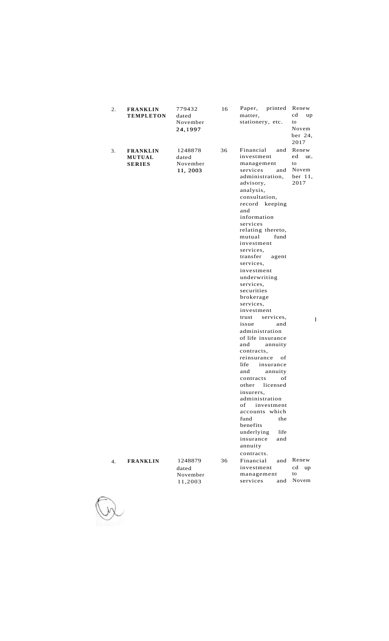| 2. | <b>FRANKLIN</b><br><b>TEMPLETON</b>        | 779432<br>dated<br>November<br>24,1997   | 16 | printed<br>Paper,<br>matter,<br>stationery, etc.                                                                                                                                                                                                                                                                                                                                                                                                                                                                                                                                                                                                                                                                                                                           | Renew<br>cd<br>up<br>to<br>Novem<br>ber 24,                                 |
|----|--------------------------------------------|------------------------------------------|----|----------------------------------------------------------------------------------------------------------------------------------------------------------------------------------------------------------------------------------------------------------------------------------------------------------------------------------------------------------------------------------------------------------------------------------------------------------------------------------------------------------------------------------------------------------------------------------------------------------------------------------------------------------------------------------------------------------------------------------------------------------------------------|-----------------------------------------------------------------------------|
| 3. | <b>FRANKLIN</b><br>MUTUAL<br><b>SERIES</b> | 1248878<br>dated<br>November<br>11, 2003 | 36 | Financial<br>and<br>investment<br>management<br>services<br>and<br>administration,<br>advisory,<br>analysis,<br>consultation,<br>record keeping<br>and<br>information<br>services<br>relating thereto,<br>mutual<br>fund<br>investment<br>services,<br>transfer<br>agent<br>services,<br>investment<br>underwriting<br>services.<br>securities<br>brokerage<br>services,<br>investment<br>trust<br>services,<br>issue<br>and<br>administration<br>of life insurance<br>annuity<br>and<br>contracts.<br>reinsurance<br>οf<br>life<br>insurance<br>annuity<br>and<br>of<br>contracts<br>licensed<br>other<br>insurers,<br>administration<br>of<br>investment<br>accounts which<br>fund<br>the<br>benefits<br>underlying<br>life<br>insurance<br>and<br>annuity<br>contracts. | 2017<br>Renew<br>ed<br>ur<br>to<br>Novem<br>ber 11,<br>2017<br>$\mathbf{I}$ |
| 4. | <b>FRANKLIN</b>                            | 1248879<br>dated<br>November<br>11,2003  | 36 | Financial<br>and<br>investment<br>management<br>services<br>and                                                                                                                                                                                                                                                                                                                                                                                                                                                                                                                                                                                                                                                                                                            | Renew<br>cd<br>up<br>to<br>Novem                                            |
|    |                                            |                                          |    |                                                                                                                                                                                                                                                                                                                                                                                                                                                                                                                                                                                                                                                                                                                                                                            |                                                                             |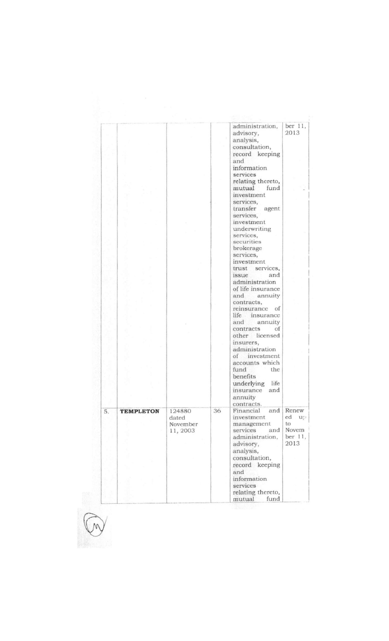|                  |          |                  | administration,                                | ber 11,                                                                                                                                                                                                                        |
|------------------|----------|------------------|------------------------------------------------|--------------------------------------------------------------------------------------------------------------------------------------------------------------------------------------------------------------------------------|
|                  |          |                  | advisory,<br>analysis,                         | 2013                                                                                                                                                                                                                           |
|                  |          |                  | record keeping<br>and                          |                                                                                                                                                                                                                                |
|                  |          |                  | services<br>relating thereto,                  |                                                                                                                                                                                                                                |
|                  |          |                  | mutual<br>fund<br>investment                   |                                                                                                                                                                                                                                |
|                  |          |                  | transfer<br>agent                              |                                                                                                                                                                                                                                |
|                  |          |                  | investment<br>underwriting                     |                                                                                                                                                                                                                                |
|                  |          |                  | securities<br>brokerage                        |                                                                                                                                                                                                                                |
|                  |          |                  | investment<br>trust services,                  |                                                                                                                                                                                                                                |
|                  |          |                  | administration<br>of life insurance            |                                                                                                                                                                                                                                |
|                  |          |                  | and annuity<br>contracts,<br>reinsurance<br>οf |                                                                                                                                                                                                                                |
|                  |          |                  | life insurance<br>and<br>annuity               |                                                                                                                                                                                                                                |
|                  |          |                  | other licensed<br>insurers,                    |                                                                                                                                                                                                                                |
|                  |          |                  | investment<br>of<br>accounts which             |                                                                                                                                                                                                                                |
|                  |          |                  | fund<br>the<br>benefits                        |                                                                                                                                                                                                                                |
|                  |          |                  | and<br>insurance<br>annuity                    |                                                                                                                                                                                                                                |
| <b>TEMPLETON</b> | 124880   | 36               | Financial<br>and                               | Renew<br>ed up                                                                                                                                                                                                                 |
|                  | November |                  | management                                     | to<br>Novem                                                                                                                                                                                                                    |
|                  |          |                  | administration,<br>advisory,                   | ber 11,<br>2013                                                                                                                                                                                                                |
|                  |          |                  | consultation,<br>record keeping                |                                                                                                                                                                                                                                |
|                  |          |                  | information<br>services<br>relating thereto,   |                                                                                                                                                                                                                                |
|                  |          | dated<br>11,2003 |                                                | consultation,<br>information<br>services,<br>services,<br>services,<br>services,<br>and<br>issue<br>contracts<br>οf<br>administration<br>underlying<br>life<br>contracts.<br>investment<br>services<br>and<br>analysis,<br>and |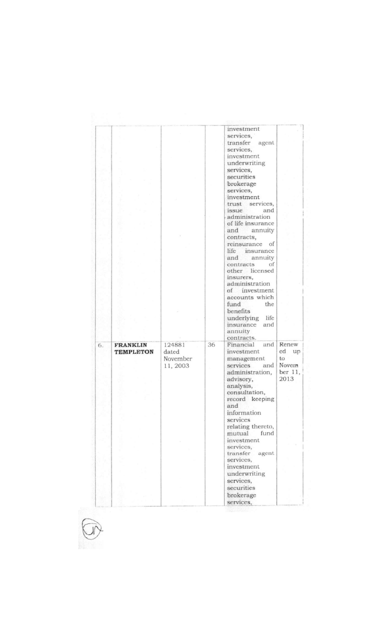|    |                                     |                                        |    | investment<br>services,<br>transfer agent<br>services,<br>investment<br>underwriting<br>services,<br>securities<br>brokerage<br>services,<br>investment<br>trust services.<br>and<br>issue<br>administration<br>of life insurance<br>and<br>annuity<br>contracts,<br>reinsurance<br>of<br>life insurance<br>and<br>annuity<br>contracts<br>of<br>other licensed<br>insurers,<br>administration<br>of investment<br>accounts which<br>fund<br>the<br>benefits<br>underlying<br>life<br>insurance<br>and<br>annuity |                                                     |
|----|-------------------------------------|----------------------------------------|----|-------------------------------------------------------------------------------------------------------------------------------------------------------------------------------------------------------------------------------------------------------------------------------------------------------------------------------------------------------------------------------------------------------------------------------------------------------------------------------------------------------------------|-----------------------------------------------------|
| 6. | <b>FRANKLIN</b><br><b>TEMPLETON</b> | 124881<br>dated<br>November<br>11,2003 | 36 | contracts.<br>Financial<br>and<br>investment<br>management<br>services<br>and<br>administration,<br>advisory,<br>analysis,<br>consultation,<br>record keeping<br>and<br>information<br>services<br>relating thereto,<br>mutual<br>fund<br>investment<br>services,<br>transfer agent<br>services,<br>investment<br>underwriting<br>services,<br>securities<br>brokerage<br>services,                                                                                                                               | Renew<br>ed<br>up<br>to<br>Novem<br>ber 11,<br>2013 |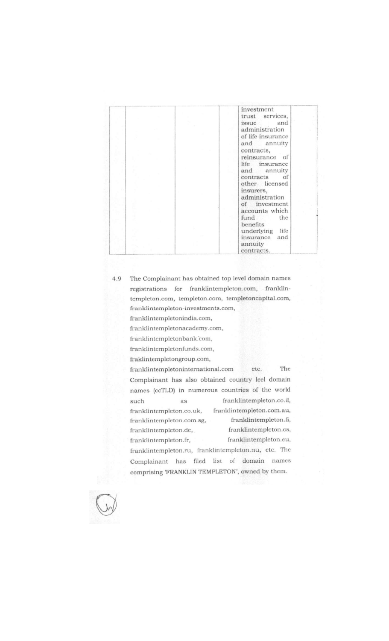|  | investment<br>trust services,    |
|--|----------------------------------|
|  | issue<br>and<br>administration   |
|  | of life insurance<br>and annuity |
|  | contracts,                       |
|  | reinsurance of<br>life insurance |
|  | and annuity<br>contracts<br>of   |
|  | other licensed<br>insurers,      |
|  | administration<br>of investment  |
|  | accounts which<br>fund<br>the    |
|  | benefits<br>underlying<br>life   |
|  | insurance and<br>annuity         |
|  | contracts.                       |

4.9 The Complainant has obtained top level domain names registrations for franklintempleton.com, franklintempleton.com, templeton.com, templetoncapital.com, franklintempleton-investments.com, franklintempletonindia.com, franklintempletonacademy.com, franklintempletonbank.com, franklintempletonfunds.com, fraklintempletongroup.com, The franklintempletoninternational.com etc. Complainant has also obtained country leel domain names (ccTLD) in numerous countries of the world franklintempleton.co.il, such as franklintempleton.co.uk, franklintempleton.com.au, franklintempleton.fi, franklintempleton.com.sg, franklintempleton.de, franklintempleton.cs, franklintempleton.eu, franklintempleton.fr, franklintempleton.ru, franklintempleton.nu, etc. The Complainant has filed list of domain names comprising 'FRANKLIN TEMPLETON', owned by them.

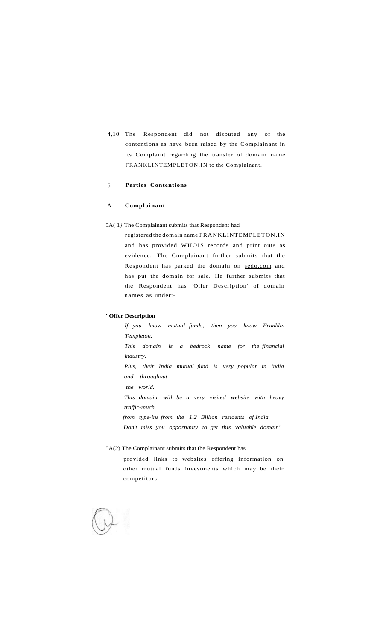4,10 The Respondent did not disputed any of the contentions as have been raised by the Complainant in its Complaint regarding the transfer of domain name FRANKLINTEMPLETON.IN to the Complainant.

### 5. **Parties Contentions**

# A **Complainant**

5A( 1} The Complainant submits that Respondent had

registered the domain name FRANKLINTEMPLETON.IN and has provided WHOIS records and print outs as evidence. The Complainant further submits that the Respondent has parked the domain on [sedo.com a](http://sedo.com)nd has put the domain for sale. He further submits that the Respondent has 'Offer Description' of domain names as under:-

#### **"Offer Description**

*If you know mutual funds, then you know Franklin Templeton. This domain is a bedrock name for the financial industry. Plus, their India mutual fund is very popular in India and throughout the world. This domain will be a very visited website with heavy traffic-much from type-ins from the 1.2 Billion residents of India. Don't miss you opportunity to get this valuable domain"* 

#### 5A(2) The Complainant submits that the Respondent has

provided links to websites offering information on other mutual funds investments which may be their competitors.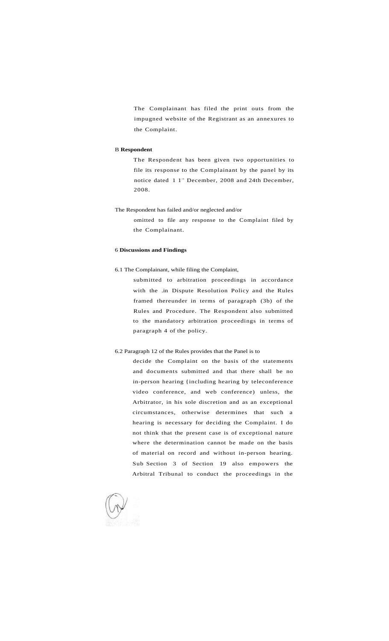The Complainant has filed the print outs from the impugned website of the Registrant as an annexures to the Complaint.

# B **Respondent**

The Respondent has been given two opportunities to file its response to the Complainant by the panel by its notice dated 1 1<sup>th</sup> December, 2008 and 24th December, 2008.

# The Respondent has failed and/or neglected and/or

omitted to file any response to the Complaint filed by the Complainant.

# 6 **Discussions and Findings**

#### 6.1 The Complainant, while filing the Complaint,

submitted to arbitration proceedings in accordance with the .in Dispute Resolution Policy and the Rules framed thereunder in terms of paragraph (3b) of the Rules and Procedure. The Respondent also submitted to the mandatory arbitration proceedings in terms of paragraph 4 of the policy.

# 6.2 Paragraph 12 of the Rules provides that the Panel is to

decide the Complaint on the basis of the statements and documents submitted and that there shall be no in-person hearing {including hearing by teleconference video conference, and web conference) unless, the Arbitrator, in his sole discretion and as an exceptional circumstances, otherwise determines that such a hearing is necessary for deciding the Complaint. I do not think that the present case is of exceptional nature where the determination cannot be made on the basis of material on record and without in-person hearing. Sub Section 3 of Section 19 also empowers the Arbitral Tribunal to conduct the proceedings in the

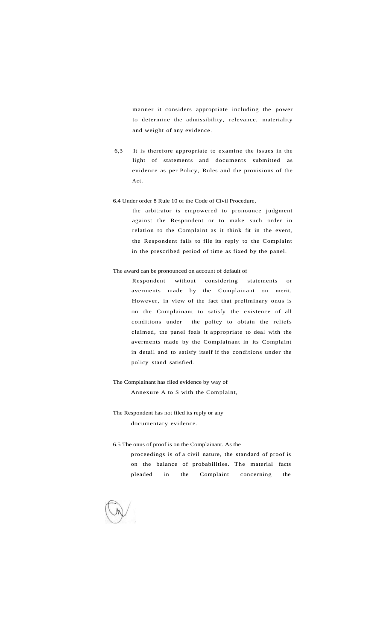manner it considers appropriate including the power to determine the admissibility, relevance, materiality and weight of any evidence.

6,3 It is therefore appropriate to examine the issues in the light of statements and documents submitted as evidence as per Policy, Rules and the provisions of the Act.

# 6.4 Under order 8 Rule 10 of the Code of Civil Procedure,

the arbitrator is empowered to pronounce judgment against the Respondent or to make such order in relation to the Complaint as it think fit in the event, the Respondent fails to file its reply to the Complaint in the prescribed period of time as fixed by the panel.

#### The award can be pronounced on account of default of

Respondent without considering statements or averments made by the Complainant on merit. However, in view of the fact that preliminary onus is on the Complainant to satisfy the existence of all conditions under the policy to obtain the reliefs claimed, the panel feels it appropriate to deal with the averments made by the Complainant in its Complaint in detail and to satisfy itself if the conditions under the policy stand satisfied.

The Complainant has filed evidence by way of Annexure A to S with the Complaint,

The Respondent has not filed its reply or any documentary evidence.

6.5 The onus of proof is on the Complainant. As the

proceedings is of a civil nature, the standard of proof is on the balance of probabilities. The material facts pleaded in the Complaint concerning the

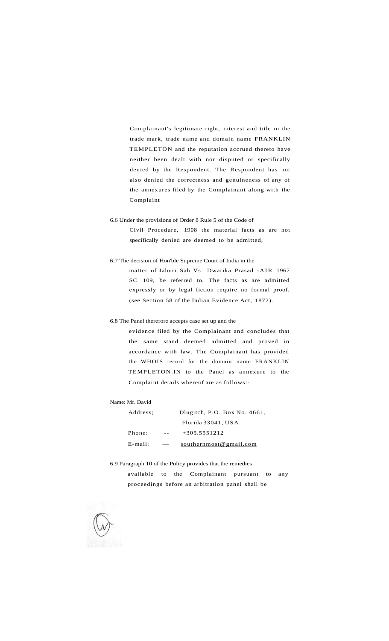Complainant's legitimate right, interest and title in the trade mark, trade name and domain name FRANKLIN TEMPLETON and the reputation accrued thereto have neither been dealt with nor disputed or specifically denied by the Respondent. The Respondent has not also denied the correctness and genuineness of any of the annexures filed by the Complainant along with the Complaint

- 6.6 Under the provisions of Order 8 Rule 5 of the Code of
	- Civil Procedure, 1908 the material facts as are not specifically denied are deemed to be admitted,
- 6.7 The decision of Hon'ble Supreme Court of India in the
	- matter of Jahuri Sah Vs. Dwarika Prasad -AIR 1967 SC 109, be referred to. The facts as are admitted expressly or by legal fiction require no formal proof. (see Section 58 of the Indian Evidence Act, 1872).

# 6.8 The Panel therefore accepts case set up and the

evidence filed by the Complainant and concludes that the same stand deemed admitted and proved in accordance with law. The Complainant has provided the WHOIS record for the domain name FRANKLIN TEMPLETON.IN to the Panel as annexure to the Complaint details whereof are as follows:-

# Name: Mr. David

| Address:   |       | Dlugitch, P.O. Box No. 4661, |  |  |
|------------|-------|------------------------------|--|--|
|            |       | Florida 33041, USA           |  |  |
| Phone:     | $- -$ | $+305.5551212$               |  |  |
| $E$ -mail: |       | southernmost@gmail.com       |  |  |

6.9 Paragraph 10 of the Policy provides that the remedies

available to the Complainant pursuant to any proceedings before an arbitration panel shall be

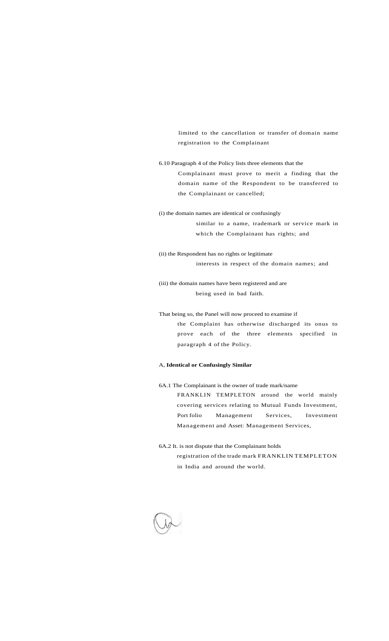limited to the cancellation or transfer of domain name registration to the Complainant

6.10 Paragraph 4 of the Policy lists three elements that the Complainant must prove to merit a finding that the domain name of the Respondent to be transferred to the Complainant or cancelled;

(i) the domain names are identical or confusingly similar to a name, trademark or service mark in which the Complainant has rights; and

(ii) the Respondent has no rights or legitimate interests in respect of the domain names; and

(iii) the domain names have been registered and are being used in bad faith.

That being so, the Panel will now proceed to examine if

the Complaint has otherwise discharged its onus to prove each of the three elements specified in paragraph 4 of the Policy.

## A, **Identical or Confusingly Similar**

# 6A.1 The Complainant is the owner of trade mark/name

FRANKLIN TEMPLETON around the world mainly covering services relating to Mutual Funds Investment, Port folio Management Services, Investment Management and Asset: Management Services,

- 6A.2 It. is not dispute that the Complainant holds registration of the trade mark FRANKLIN TEMPLETON
	- in India and around the world.

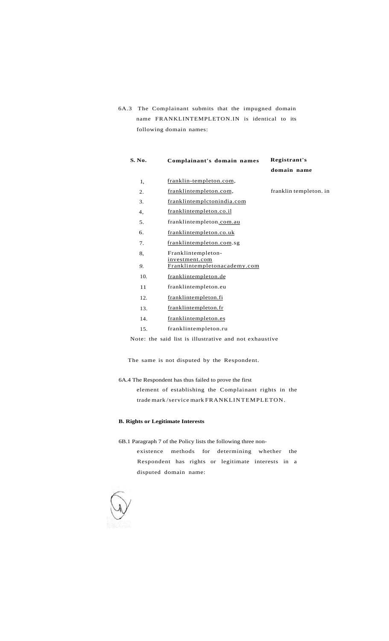6A.3 The Complainant submits that the impugned domain name FRANKLINTEMPLETON.IN is identical to its following domain names:

| S. No. | Complainant's domain names                     | Registrant's           |  |  |
|--------|------------------------------------------------|------------------------|--|--|
|        |                                                | domain name            |  |  |
| 1,     | franklin-templeton.com,                        |                        |  |  |
| 2.     | franklintempleton.com,                         | franklin templeton. in |  |  |
| 3.     | franklintemplctonindia.com                     |                        |  |  |
| 4,     | franklintempleton.co.il                        |                        |  |  |
| 5.     | franklintempleton.com.au                       |                        |  |  |
| 6.     | franklintempleton.co.uk                        |                        |  |  |
| 7.     | franklintempleton.com.sg                       |                        |  |  |
| 8,     | Franklintempleton-                             |                        |  |  |
| 9.     | investment.com<br>Franklintempletonacademy.com |                        |  |  |
| 10.    | franklintempleton.de                           |                        |  |  |
| 11     | franklintempleton.eu                           |                        |  |  |
| 12.    | franklintempleton.fi                           |                        |  |  |
| 13.    | franklintempleton.fr                           |                        |  |  |
| 14.    | franklintempleton.es                           |                        |  |  |
| 15.    | franklintempleton.ru                           |                        |  |  |

Note: the said list is illustrative and not exhaustive

The same is not disputed by the Respondent.

### 6A.4 The Respondent has thus failed to prove the first

element of establishing the Complainant rights in the trade mark /service mark FRANKLIN TEMPLETON.

# **B. Rights or Legitimate Interests**

6B.1 Paragraph 7 of the Policy lists the following three nonexistence methods for determining whether the Respondent has rights or legitimate interests in a disputed domain name:

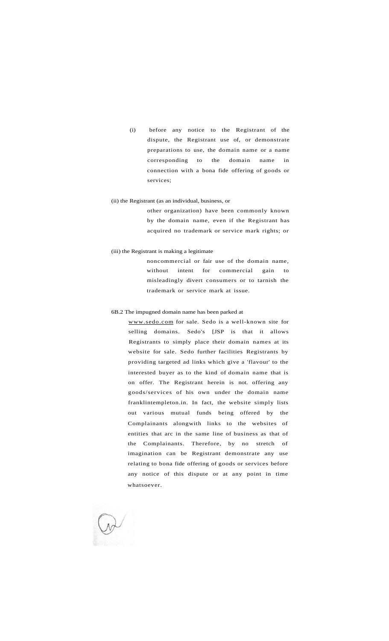(i) before any notice to the Registrant of the dispute, the Registrant use of, or demonstrate preparations to use, the domain name or a name corresponding to the domain name in connection with a bona fide offering of goods or services;

# (ii) the Registrant (as an individual, business, or

other organization) have been commonly known by the domain name, even if the Registrant has acquired no trademark or service mark rights; or

### (iii) the Registrant is making a legitimate

noncommercial or fair use of the domain name, without intent for commercial gain to misleadingly divert consumers or to tarnish the trademark or service mark at issue.

### 6B.2 The impugned domain name has been parked at

[www.sedo.com f](http://www.sedo.com)or sale. Sedo is a well-known site for selling domains. Sedo's [JSP is that it allows Registrants to simply place their domain names at its website for sale. Sedo further facilities Registrants by providing targeted ad links which give a 'flavour' to the interested buyer as to the kind of domain name that is on offer. The Registrant herein is not. offering any goods/services of his own under the domain name franklintempleton.in. In fact, the website simply lists out various mutual funds being offered by the Complainants alongwith links to the websites of entities that arc in the same line of business as that of the Complainants. Therefore, by no stretch of imagination can be Registrant demonstrate any use relating to bona fide offering of goods or services before any notice of this dispute or at any point in time whatsoever.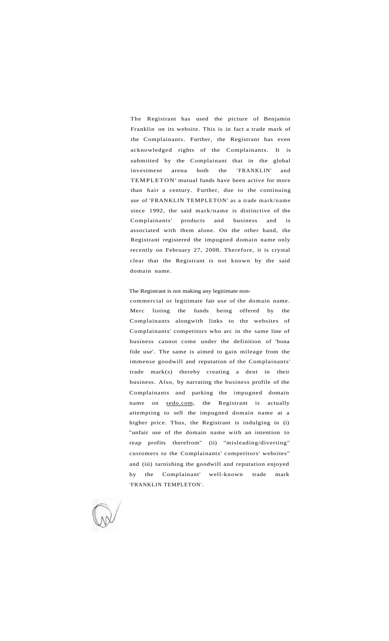The Registrant has used the picture of Benjamin Franklin on its website. This is in fact a trade mark of the Complainants. Further, the Registrant has even acknowledged rights of the Complainants. It is submitted by the Complainant that in the global investment arena both the 'FRANKLIN' and TEMPLETON' mutual funds have been active for more than hair a century. Further, due to the continuing use of 'FRANKLIN TEMPLETON' as a trade mark/name since 1992, the said mark/name is distinctive of the Complainants' products and business and is associated with them alone. On the other hand, the Registrant registered the impugned domain name only recently on February 27, 2008. Therefore, it is crystal clear that the Registrant is not known by the said domain name.

The Registrant is not making any legitimate non-

commercial or legitimate fair use of the domain name. Merc listing the funds being offered by the Complainants alongwith links to the websites of Complainants' competitors who arc in the same line of business cannot come under the definition of 'bona fide use'. The same is aimed to gain mileage from the immense goodwill and reputation of the Complainants' trade mark(s) thereby creating a dent in their business. Also, by narrating the business profile of the Complainants and parking the impugned domain name on [sedo.com,](http://sedo.com) the Registrant is actually attempting to sell the impugned domain name at a higher price. Thus, the Registrant is indulging in (i) "unfair use of the domain name with an intention to reap profits therefrom" (ii) "misleading/diverting" customers to the Complainants' competitors' websites" and (iii) tarnishing the goodwill and reputation enjoyed by the Complainant' well-known trade mark 'FRANKLIN TEMPLETON'.

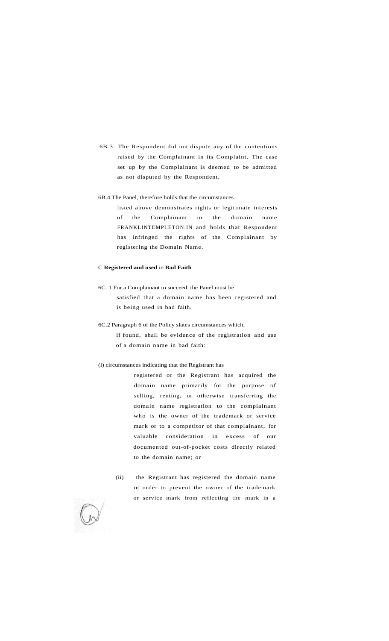- 6B.3 The Respondent did not dispute any of the contentions raised by the Complainant in its Complaint. The case set up by the Complainant is deemed to be admitted as not disputed by the Respondent.
- 6B.4 The Panel, therefore holds that the circumstances

listed above demonstrates rights or legitimate interests of the Complainant in the domain name FRANKLINTEMPLETON.IN and holds that Respondent has infringed the rights of the Complainant by registering the Domain Name.

# C **Registered and used** in **Bad Faith**

- 6C. 1 For a Complainant to succeed, the Panel must be satisfied that a domain name has been registered and is being used in bad faith.
- 6C.2 Paragraph 6 of the Policy slates circumstances which,

if found, shall be evidence of the registration and use of a domain name in bad faith:

#### (i) circumstances indicating that the Registrant has

registered or the Registrant has acquired the domain name primarily for the purpose of selling, renting, or otherwise transferring the domain name registration to the complainant who is the owner of the trademark or service mark or to a competitor of that complainant, for valuable consideration in excess of our documented out-of-pocket costs directly related to the domain name; or

(ii) the Registrant has registered the domain name in order to prevent the owner of the trademark or service mark from reflecting the mark in a

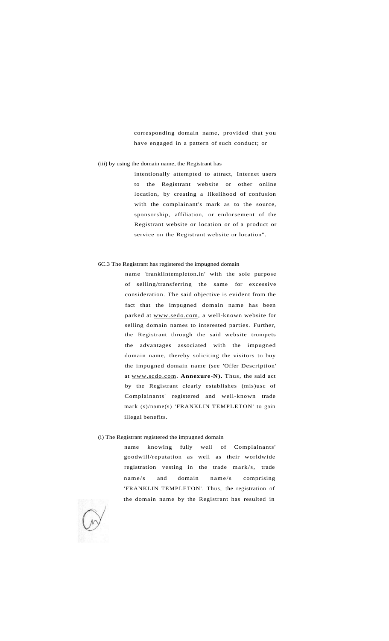corresponding domain name, provided that you have engaged in a pattern of such conduct; or

#### (iii) by using the domain name, the Registrant has

intentionally attempted to attract, Internet users to the Registrant website or other online location, by creating a likelihood of confusion with the complainant's mark as to the source, sponsorship, affiliation, or endorsement of the Registrant website or location or of a product or service on the Registrant website or location".

# 6C.3 The Registrant has registered the impugned domain

name 'franklintempleton.in' with the sole purpose of selling/transferring the same for excessive consideration. The said objective is evident from the fact that the impugned domain name has been parked at [www.sedo.com,](http://www.sedo.com) a well-known website for selling domain names to interested parties. Further, the Registrant through the said website trumpets the advantages associated with the impugned domain name, thereby soliciting the visitors to buy the impugned domain name (see 'Offer Description' at [www.scdo.com.](http://www.scdo.com) **Annexure-N).** Thus, the said act by the Registrant clearly establishes (mis)usc of Complainants' registered and well-known trade mark (s)/name(s) 'FRANKLIN TEMPLETON' to gain illegal benefits.

### (i) The Registrant registered the impugned domain

name knowing fully well of Complainants' goodwill/reputation as well as their worldwide registration vesting in the trade mark/s, trade name/s and domain name/s comprising 'FRANKLIN TEMPLETON'. Thus, the registration of the domain name by the Registrant has resulted in

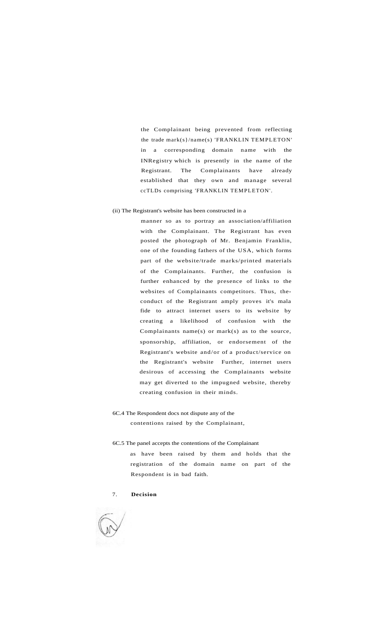the Complainant being prevented from reflecting the trade mark(s}/name(s) 'FRANKLIN TEMPLETON' in a corresponding domain name with the INRegistry which is presently in the name of the Registrant. The Complainants have already established that they own and manage several ccTLDs comprising 'FRANKLIN TEMPLETON'.

(ii) The Registrant's website has been constructed in a

manner so as to portray an association/affiliation with the Complainant. The Registrant has even posted the photograph of Mr. Benjamin Franklin, one of the founding fathers of the USA, which forms part of the website/trade marks/printed materials of the Complainants. Further, the confusion is further enhanced by the presence of links to the websites of Complainants competitors. Thus, theconduct of the Registrant amply proves it's mala fide to attract internet users to its website by creating a likelihood of confusion with the Complainants name(s) or mark(s) as to the source, sponsorship, affiliation, or endorsement of the Registrant's website and/or of a product/service on the Registrant's website Further, internet users desirous of accessing the Complainants website may get diverted to the impugned website, thereby creating confusion in their minds.

- 6C.4 The Respondent docs not dispute any of the contentions raised by the Complainant,
- 6C.5 The panel accepts the contentions of the Complainant

as have been raised by them and holds that the registration of the domain name on part of the Respondent is in bad faith.

7. **Decision**